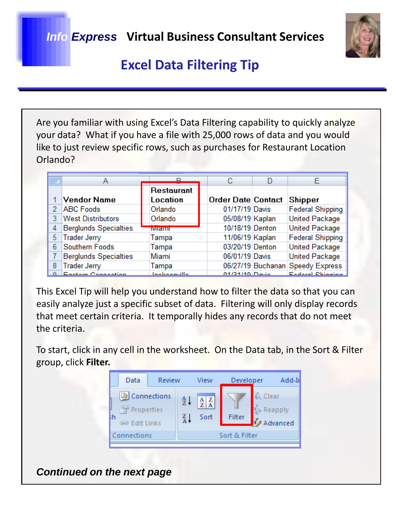

Are you familiar with using Excel's Data Filtering capability to quickly analyze your data? What if you have a file with 25,000 rows of data and you would like to just review specific rows, such as purchases for Restaurant Location Orlando?

|   |                              |                     |                    | F                                |
|---|------------------------------|---------------------|--------------------|----------------------------------|
|   |                              | Restaurant          |                    |                                  |
|   | <b>Vendor Name</b>           | Location            | Order Date Contact | <b>Shipper</b>                   |
| 2 | <b>ABC Foods</b>             | Orlando             | 01/17/19 Davis     | <b>Federal Shipping</b>          |
|   | <b>West Distributors</b>     | Orlando             | 05/08/19 Kaplan    | <b>United Package</b>            |
| 4 | <b>Berglunds Specialties</b> | <b>Wilaimi</b>      | 10/18/19 Denton    | <b>United Package</b>            |
| 5 | <b>Trader Jerry</b>          | Tampa               | 11/06/19 Kaplan    | <b>Federal Shipping</b>          |
| 6 | Southern Foods               | Tampa               | 03/20/19 Denton    | <b>United Package</b>            |
|   | <b>Berglunds Specialties</b> | Miami               | 06/01/19 Davis     | <b>United Package</b>            |
| 8 | <b>Trader Jerry</b>          | Tampa               |                    | 06/27/19 Buchanan Speedy Express |
|   | Enatam Cannantian            | <b>Lookoopuille</b> | $04/24/40$ Devia   | Eadaral Chinning                 |

This Excel Tip will help you understand how to filter the data so that you can easily analyze just a specific subset of data. Filtering will only display records that meet certain criteria. It temporally hides any records that do not meet the criteria.

To start, click in any cell in the worksheet. On the Data tab, in the Sort & Filter group, click **Filter.**



*Continued on the next page*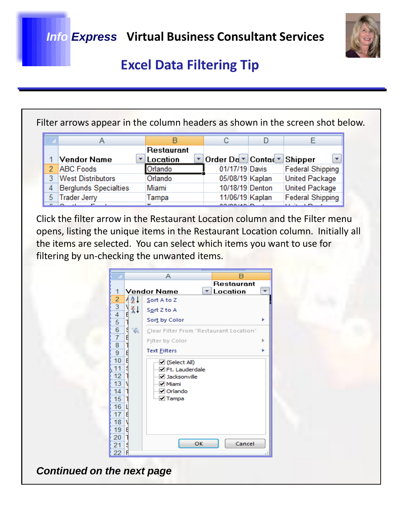

Filter arrows appear in the column headers as shown in the screen shot below.

|                              |                        | с                   |                         |
|------------------------------|------------------------|---------------------|-------------------------|
| Vendor Name                  | Restaurant<br>Location | Order Da ▼ Contad ▼ | Shipper                 |
| <b>ABC</b> Foods             | Orlando                | 01/17/19 Davis      | <b>Federal Shipping</b> |
| <b>West Distributors</b>     | Orlando                | 05/08/19 Kaplan     | <b>United Package</b>   |
| <b>Berglunds Specialties</b> | Miami                  | 10/18/19 Denton     | <b>United Package</b>   |
| <b>Trader Jerry</b>          | Tampa                  | 11/06/19 Kaplan     | <b>Federal Shipping</b> |
|                              |                        | 0.2001100           | <b><i>BENDRA</i></b>    |

Click the filter arrow in the Restaurant Location column and the Filter menu opens, listing the unique items in the Restaurant Location column. Initially all the items are selected. You can select which items you want to use for filtering by un-checking the unwanted items.



*Continued on the next page*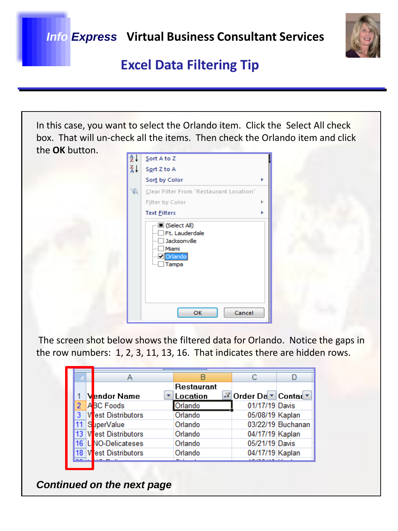

In this case, you want to select the Orlando item. Click the Select All check box. That will un-check all the items. Then check the Orlando item and click the **OK** button.

| ≜↓            | Sort A to Z                                                                                         |   |
|---------------|-----------------------------------------------------------------------------------------------------|---|
| $\frac{Z}{A}$ | Sort Z to A                                                                                         |   |
|               | Sort by Color                                                                                       |   |
| ŵ.            | Clear Filter From "Restaurant Location"                                                             |   |
|               | Filter by Color                                                                                     | ь |
|               | <b>Text Eilters</b>                                                                                 |   |
|               | ·■ (Select All)<br>Ft. Lauderdale<br>Jacksonville<br>Miami<br><b>Dorlando</b><br><sub>…</sub> Tampa |   |
|               | ОΚ<br>Cancel                                                                                        |   |

The screen shot below shows the filtered data for Orlando. Notice the gaps in the row numbers: 1, 2, 3, 11, 13, 16. That indicates there are hidden rows.

|     |                       | Restaurant |                       |                   |  |
|-----|-----------------------|------------|-----------------------|-------------------|--|
|     | <b>Vendor Name</b>    | Location   | √ Order Da v Contad v |                   |  |
|     | ABC Foods             | Orlando    | 01/17/19 Davis        |                   |  |
| 3   | est Distributors      | Orlando    | 05/08/19 Kaplan       |                   |  |
|     | uperValue             | Orlando    |                       | 03/22/19 Buchanan |  |
| 13. | est Distributors      | Orlando    | 04/17/19 Kaplan       |                   |  |
| 16. | <b>NO-Delicateses</b> | Orlando    | 05/21/19 Davis        |                   |  |
| 18  | est Distributors      | Orlando    | 04/17/19 Kaplan       |                   |  |
|     |                       |            |                       |                   |  |

*Continued on the next page*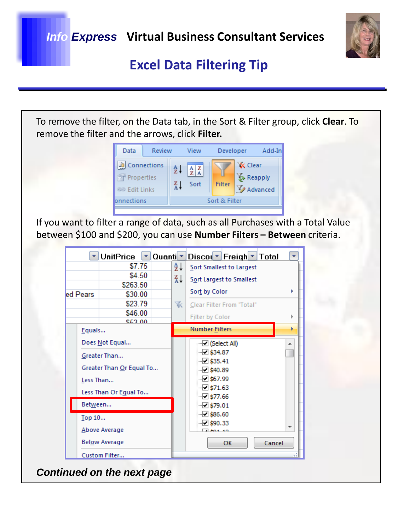

|                           | Data                                                                     | Review      |                              | View                                                           | Developer                                                                                                                                                                                |                                       | Add-In |  |
|---------------------------|--------------------------------------------------------------------------|-------------|------------------------------|----------------------------------------------------------------|------------------------------------------------------------------------------------------------------------------------------------------------------------------------------------------|---------------------------------------|--------|--|
|                           | <b>B</b> Connections<br>Properties<br><b>SO Edit Links</b><br>onnections |             | $rac{A}{Z}$<br>$\frac{Z}{A}$ | $\begin{array}{c c} A & Z \\ \hline Z & A \end{array}$<br>Sort | Filter<br>Sort & Filter                                                                                                                                                                  | <b>X</b> Clear<br>Reapply<br>Advanced |        |  |
|                           | <b>UnitPrice</b>                                                         | Quanti<br>▼ |                              |                                                                | If you want to filter a range of data, such as all Purchases with a Total Value<br>between \$100 and \$200, you can use <b>Number Filters - Between</b> criteria.<br>Discol Freigh Total |                                       |        |  |
|                           | \$7.75                                                                   |             | ∄↓                           |                                                                | Sort Smallest to Largest                                                                                                                                                                 |                                       |        |  |
|                           | \$4.50                                                                   |             | ∡↓                           |                                                                | Sort Largest to Smallest                                                                                                                                                                 |                                       |        |  |
|                           | \$263.50                                                                 |             |                              | Sort by Color                                                  |                                                                                                                                                                                          |                                       | Þ      |  |
| ed Pears                  | \$30.00<br>\$23.79                                                       |             | Clear Filter From "Total"    |                                                                |                                                                                                                                                                                          |                                       |        |  |
|                           | \$46.00<br><b>CE3 00</b>                                                 |             | 诼                            |                                                                | Filter by Color                                                                                                                                                                          |                                       |        |  |
| Equals                    |                                                                          |             |                              |                                                                | Number Eilters                                                                                                                                                                           |                                       | ь      |  |
| Does Not Equal            |                                                                          |             |                              |                                                                | □ (Select All)                                                                                                                                                                           |                                       |        |  |
| Greater Than<br>Less Than | Greater Than Or Equal To<br>Less Than Or Egual To                        |             |                              |                                                                | 2 \$34.87<br>$\Box$ \$35.41<br>2540.89<br>·⊡ \$67.99<br>$\boxdot$ \$71.63                                                                                                                |                                       |        |  |
| Between                   |                                                                          |             |                              |                                                                | $\boxdot$ \$77.66<br>$\boxdot$ \$79.01                                                                                                                                                   |                                       |        |  |
| Top 10                    |                                                                          |             |                              |                                                                | $\Box$ \$86.60                                                                                                                                                                           |                                       |        |  |
|                           |                                                                          |             |                              |                                                                | $\triangledown$ \$90.33                                                                                                                                                                  |                                       |        |  |
|                           |                                                                          |             |                              |                                                                |                                                                                                                                                                                          |                                       | Cancel |  |
| Below Average             |                                                                          |             |                              |                                                                | ОК                                                                                                                                                                                       |                                       |        |  |
| Above Average             |                                                                          |             |                              |                                                                |                                                                                                                                                                                          |                                       |        |  |